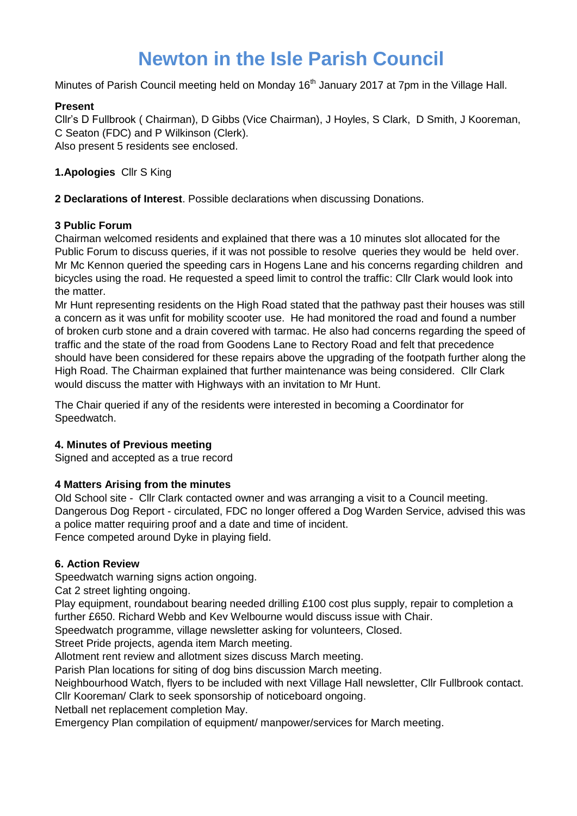# **Newton in the Isle Parish Council**

Minutes of Parish Council meeting held on Monday 16<sup>th</sup> January 2017 at 7pm in the Village Hall.

### **Present**

Cllr's D Fullbrook ( Chairman), D Gibbs (Vice Chairman), J Hoyles, S Clark, D Smith, J Kooreman, C Seaton (FDC) and P Wilkinson (Clerk). Also present 5 residents see enclosed.

**1.Apologies** Cllr S King

**2 Declarations of Interest**. Possible declarations when discussing Donations.

### **3 Public Forum**

Chairman welcomed residents and explained that there was a 10 minutes slot allocated for the Public Forum to discuss queries, if it was not possible to resolve queries they would be held over. Mr Mc Kennon queried the speeding cars in Hogens Lane and his concerns regarding children and bicycles using the road. He requested a speed limit to control the traffic: Cllr Clark would look into the matter.

Mr Hunt representing residents on the High Road stated that the pathway past their houses was still a concern as it was unfit for mobility scooter use. He had monitored the road and found a number of broken curb stone and a drain covered with tarmac. He also had concerns regarding the speed of traffic and the state of the road from Goodens Lane to Rectory Road and felt that precedence should have been considered for these repairs above the upgrading of the footpath further along the High Road. The Chairman explained that further maintenance was being considered. Cllr Clark would discuss the matter with Highways with an invitation to Mr Hunt.

The Chair queried if any of the residents were interested in becoming a Coordinator for Speedwatch.

### **4. Minutes of Previous meeting**

Signed and accepted as a true record

### **4 Matters Arising from the minutes**

Old School site - Cllr Clark contacted owner and was arranging a visit to a Council meeting. Dangerous Dog Report - circulated, FDC no longer offered a Dog Warden Service, advised this was a police matter requiring proof and a date and time of incident. Fence competed around Dyke in playing field.

### **6. Action Review**

Speedwatch warning signs action ongoing.

Cat 2 street lighting ongoing.

Play equipment, roundabout bearing needed drilling £100 cost plus supply, repair to completion a further £650. Richard Webb and Kev Welbourne would discuss issue with Chair.

Speedwatch programme, village newsletter asking for volunteers, Closed.

Street Pride projects, agenda item March meeting.

Allotment rent review and allotment sizes discuss March meeting.

Parish Plan locations for siting of dog bins discussion March meeting.

Neighbourhood Watch, flyers to be included with next Village Hall newsletter, Cllr Fullbrook contact.

Cllr Kooreman/ Clark to seek sponsorship of noticeboard ongoing.

Netball net replacement completion May.

Emergency Plan compilation of equipment/ manpower/services for March meeting.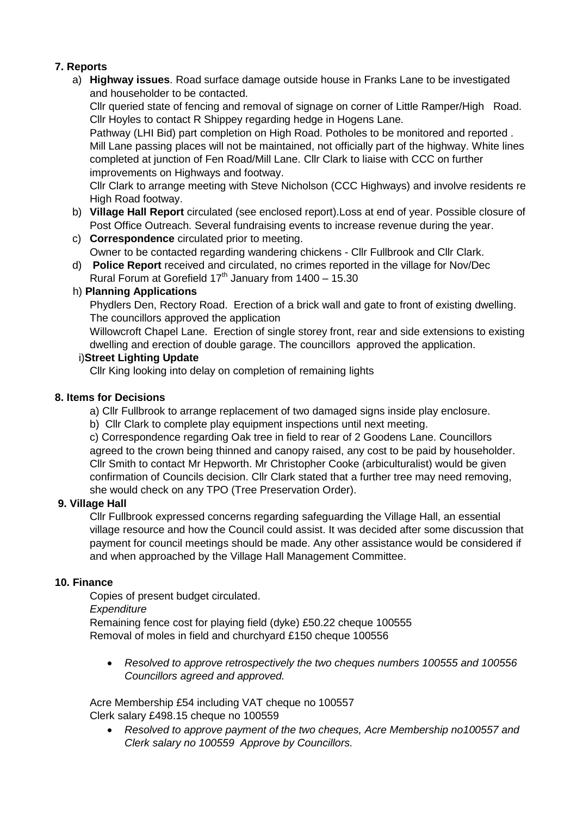## **7. Reports**

a) **Highway issues**. Road surface damage outside house in Franks Lane to be investigated and householder to be contacted.

Cllr queried state of fencing and removal of signage on corner of Little Ramper/High Road. Cllr Hoyles to contact R Shippey regarding hedge in Hogens Lane.

Pathway (LHI Bid) part completion on High Road. Potholes to be monitored and reported. Mill Lane passing places will not be maintained, not officially part of the highway. White lines completed at junction of Fen Road/Mill Lane. Cllr Clark to liaise with CCC on further improvements on Highways and footway.

Cllr Clark to arrange meeting with Steve Nicholson (CCC Highways) and involve residents re High Road footway.

- b) **Village Hall Report** circulated (see enclosed report).Loss at end of year. Possible closure of Post Office Outreach. Several fundraising events to increase revenue during the year.
- c) **Correspondence** circulated prior to meeting. Owner to be contacted regarding wandering chickens - Cllr Fullbrook and Cllr Clark.
- d) **Police Report** received and circulated, no crimes reported in the village for Nov/Dec Rural Forum at Gorefield  $17<sup>th</sup>$  January from  $1400 - 15.30$

### h) **Planning Applications**

Phydlers Den, Rectory Road. Erection of a brick wall and gate to front of existing dwelling. The councillors approved the application

Willowcroft Chapel Lane. Erection of single storey front, rear and side extensions to existing dwelling and erection of double garage. The councillors approved the application.

### i)**Street Lighting Update**

Cllr King looking into delay on completion of remaining lights

## **8. Items for Decisions**

a) Cllr Fullbrook to arrange replacement of two damaged signs inside play enclosure.

b) Cllr Clark to complete play equipment inspections until next meeting.

c) Correspondence regarding Oak tree in field to rear of 2 Goodens Lane. Councillors agreed to the crown being thinned and canopy raised, any cost to be paid by householder. Cllr Smith to contact Mr Hepworth. Mr Christopher Cooke (arbiculturalist) would be given confirmation of Councils decision. Cllr Clark stated that a further tree may need removing, she would check on any TPO (Tree Preservation Order).

### **9. Village Hall**

Cllr Fullbrook expressed concerns regarding safeguarding the Village Hall, an essential village resource and how the Council could assist. It was decided after some discussion that payment for council meetings should be made. Any other assistance would be considered if and when approached by the Village Hall Management Committee.

### **10. Finance**

Copies of present budget circulated. *Expenditure* Remaining fence cost for playing field (dyke) £50.22 cheque 100555 Removal of moles in field and churchyard £150 cheque 100556

 *Resolved to approve retrospectively the two cheques numbers 100555 and 100556 Councillors agreed and approved.*

Acre Membership £54 including VAT cheque no 100557 Clerk salary £498.15 cheque no 100559

 *Resolved to approve payment of the two cheques, Acre Membership no100557 and Clerk salary no 100559 Approve by Councillors.*